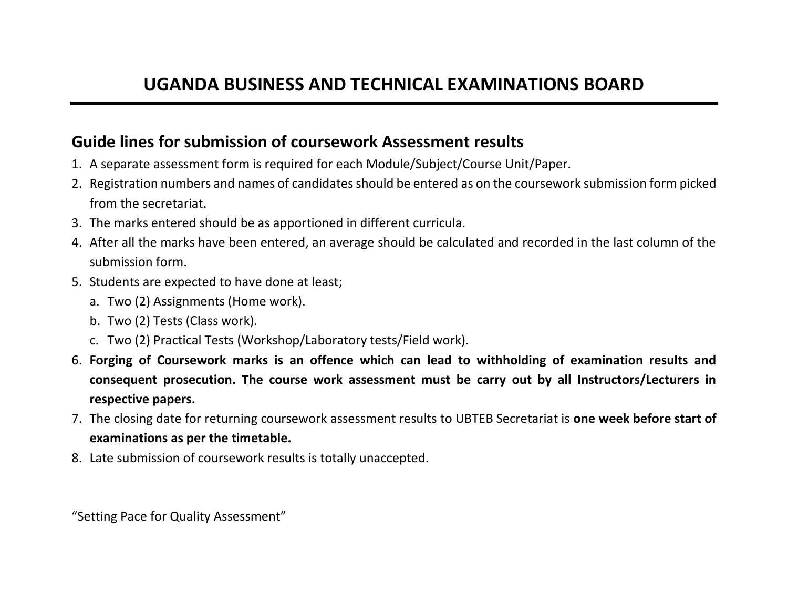## **Guide lines for submission of coursework Assessment results**

- 1. A separate assessment form is required for each Module/Subject/Course Unit/Paper.
- 2. Registration numbers and names of candidates should be entered as on the coursework submission form picked from the secretariat.
- 3. The marks entered should be as apportioned in different curricula.
- 4. After all the marks have been entered, an average should be calculated and recorded in the last column of the submission form.
- 5. Students are expected to have done at least;
	- a. Two (2) Assignments (Home work).
	- b. Two (2) Tests (Class work).
	- c. Two (2) Practical Tests (Workshop/Laboratory tests/Field work).
- 6. **Forging of Coursework marks is an offence which can lead to withholding of examination results and consequent prosecution. The course work assessment must be carry out by all Instructors/Lecturers in respective papers.**
- 7. The closing date for returning coursework assessment results to UBTEB Secretariat is **one week before start of examinations as per the timetable.**
- 8. Late submission of coursework results is totally unaccepted.

"Setting Pace for Quality Assessment"